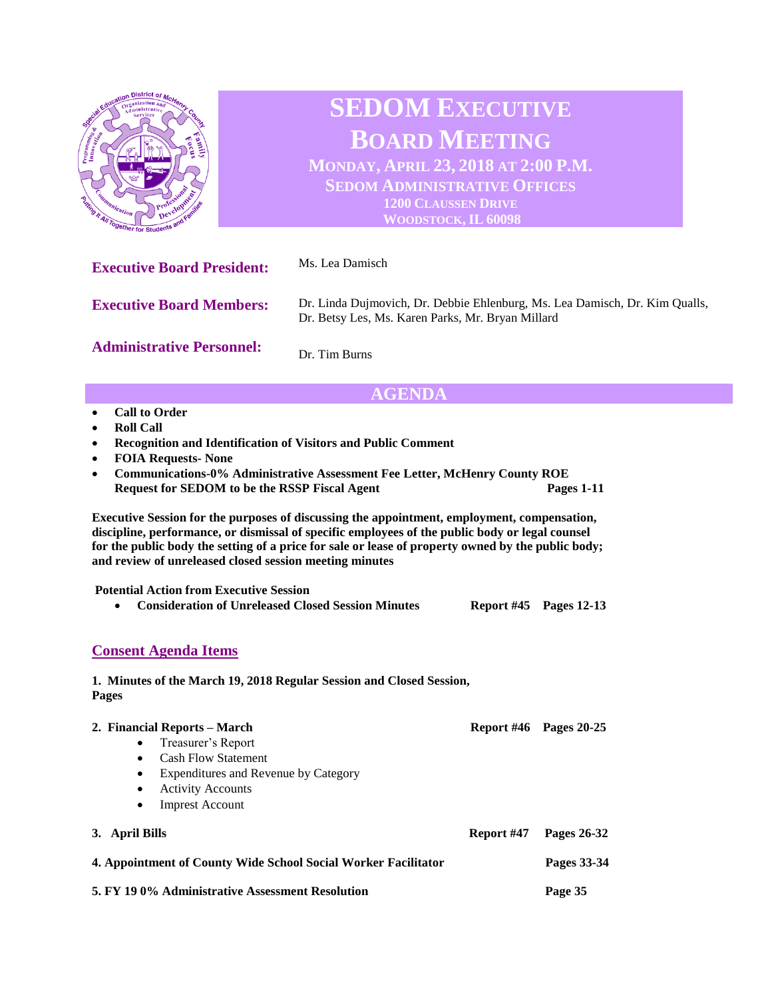

- **Roll Call**
- **Recognition and Identification of Visitors and Public Comment**
- **FOIA Requests- None**
- **Communications-0% Administrative Assessment Fee Letter, McHenry County ROE Request for SEDOM to be the RSSP Fiscal Agent Pages 1-11**

**Executive Session for the purposes of discussing the appointment, employment, compensation, discipline, performance, or dismissal of specific employees of the public body or legal counsel for the public body the setting of a price for sale or lease of property owned by the public body; and review of unreleased closed session meeting minutes**

**Potential Action from Executive Session** 

| <b>Consideration of Unreleased Closed Session Minutes</b> | <b>Report #45</b> Pages 12-13 |  |
|-----------------------------------------------------------|-------------------------------|--|
|                                                           |                               |  |

## **Consent Agenda Items**

## **1. Minutes of the March 19, 2018 Regular Session and Closed Session, Pages**

| 2. Financial Reports – March                                                  |            | Report $#46$ Pages 20-25 |  |
|-------------------------------------------------------------------------------|------------|--------------------------|--|
| Treasurer's Report<br>$\bullet$                                               |            |                          |  |
| <b>Cash Flow Statement</b><br>$\bullet$                                       |            |                          |  |
| Expenditures and Revenue by Category<br>$\bullet$                             |            |                          |  |
| <b>Activity Accounts</b><br>٠                                                 |            |                          |  |
| <b>Imprest Account</b><br>$\bullet$                                           |            |                          |  |
| 3. April Bills                                                                | Report #47 | Pages 26-32              |  |
| 4. Appointment of County Wide School Social Worker Facilitator<br>Pages 33-34 |            |                          |  |
| 5. FY 190% Administrative Assessment Resolution                               | Page 35    |                          |  |